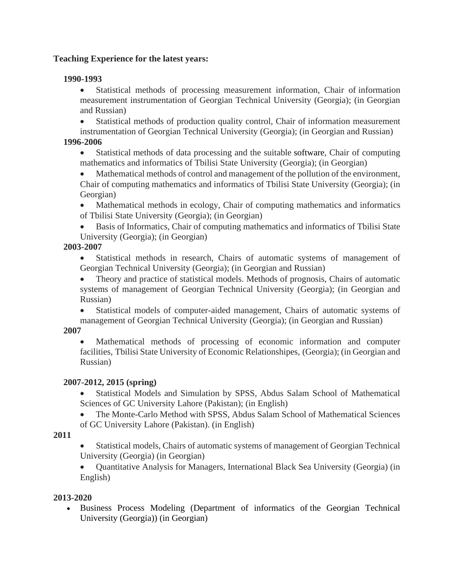# **Teaching Experience for the latest years:**

#### **1990-1993**

• Statistical methods of processing measurement information, Chair of information measurement instrumentation of Georgian Technical University (Georgia); (in Georgian and Russian)

• Statistical methods of production quality control, Chair of information measurement

instrumentation of Georgian Technical University (Georgia); (in Georgian and Russian) **1996-2006**

• Statistical methods of data processing and the suitable software, Chair of computing mathematics and informatics of Tbilisi State University (Georgia); (in Georgian)

• Mathematical methods of control and management of the pollution of the environment, Chair of computing mathematics and informatics of Tbilisi State University (Georgia); (in Georgian)

• Mathematical methods in ecology, Chair of computing mathematics and informatics of Tbilisi State University (Georgia); (in Georgian)

• Basis of Informatics, Chair of computing mathematics and informatics of Tbilisi State University (Georgia); (in Georgian)

#### **2003-2007**

• Statistical methods in research, Chairs of automatic systems of management of Georgian Technical University (Georgia); (in Georgian and Russian)

• Theory and practice of statistical models. Methods of prognosis, Chairs of automatic systems of management of Georgian Technical University (Georgia); (in Georgian and Russian)

• Statistical models of computer-aided management, Chairs of automatic systems of management of Georgian Technical University (Georgia); (in Georgian and Russian)

# **2007**

• Mathematical methods of processing of economic information and computer facilities, Tbilisi State University of Economic Relationshipes, (Georgia); (in Georgian and Russian)

# **2007-2012, 2015 (spring)**

• Statistical Models and Simulation by SPSS, Abdus Salam School of Mathematical Sciences of GC University Lahore (Pakistan); (in English)

• The Monte-Carlo Method with SPSS, Abdus Salam School of Mathematical Sciences of GC University Lahore (Pakistan). (in English)

#### **2011**

• Statistical models, Chairs of automatic systems of management of Georgian Technical University (Georgia) (in Georgian)

• Ouantitative Analysis for Managers, International Black Sea University (Georgia) (in English)

# **2013-2020**

• Business Process Modeling (Department of informatics of the Georgian Technical University (Georgia)) (in Georgian)